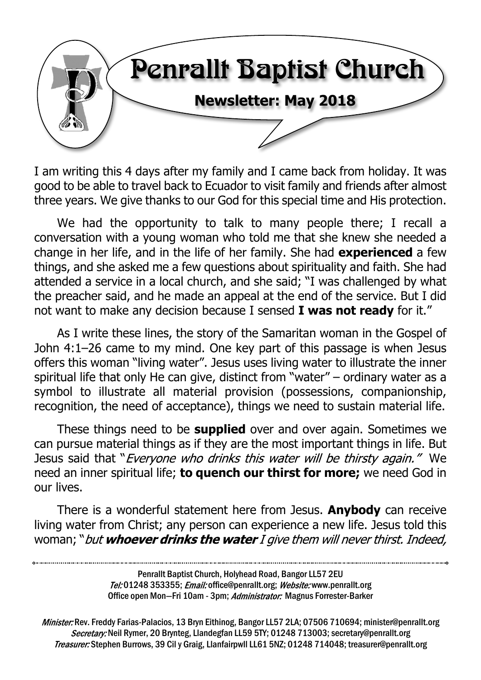

I am writing this 4 days after my family and I came back from holiday. It was good to be able to travel back to Ecuador to visit family and friends after almost three years. We give thanks to our God for this special time and His protection.

We had the opportunity to talk to many people there; I recall a conversation with a young woman who told me that she knew she needed a change in her life, and in the life of her family. She had **experienced** a few things, and she asked me a few questions about spirituality and faith. She had attended a service in a local church, and she said; "I was challenged by what the preacher said, and he made an appeal at the end of the service. But I did not want to make any decision because I sensed **I was not ready** for it."

As I write these lines, the story of the Samaritan woman in the Gospel of John 4:1–26 came to my mind. One key part of this passage is when Jesus offers this woman "living water". Jesus uses living water to illustrate the inner spiritual life that only He can give, distinct from "water" – ordinary water as a symbol to illustrate all material provision (possessions, companionship, recognition, the need of acceptance), things we need to sustain material life.

These things need to be **supplied** over and over again. Sometimes we can pursue material things as if they are the most important things in life. But Jesus said that "*Everyone who drinks this water will be thirsty again."* We need an inner spiritual life; **to quench our thirst for more;** we need God in our lives.

There is a wonderful statement here from Jesus. **Anybody** can receive living water from Christ; any person can experience a new life. Jesus told this woman; "but whoever drinks the water I give them will never thirst. Indeed,

> Penrallt Baptist Church, Holyhead Road, Bangor LL57 2EU Tel:01248 353355; Email: office@penrallt.org; Website: www.penrallt.org Office open Mon-Fri 10am - 3pm; Administrator: Magnus Forrester-Barker

Minister: Rev. Freddy Farias-Palacios, 13 Bryn Eithinog, Bangor LL57 2LA; 07506 710694; minister@penrallt.org Secretary: Neil Rymer, 20 Brynteg, Llandegfan LL59 5TY; 01248 713003; secretary@penrallt.org Treasurer: Stephen Burrows, 39 Cil y Graig, Llanfairpwll LL61 5NZ; 01248 714048; treasurer@penrallt.org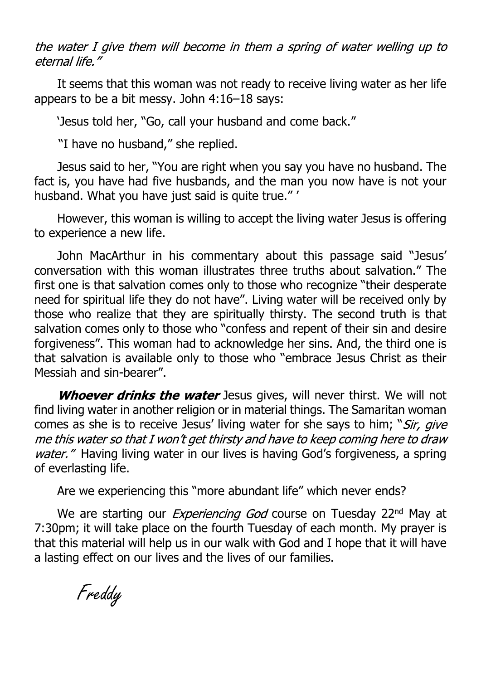the water I give them will become in them a spring of water welling up to eternal life."

It seems that this woman was not ready to receive living water as her life appears to be a bit messy. John 4:16–18 says:

'Jesus told her, "Go, call your husband and come back."

"I have no husband," she replied.

Jesus said to her, "You are right when you say you have no husband. The fact is, you have had five husbands, and the man you now have is not your husband. What you have just said is quite true." '

However, this woman is willing to accept the living water Jesus is offering to experience a new life.

John MacArthur in his commentary about this passage said "Jesus' conversation with this woman illustrates three truths about salvation." The first one is that salvation comes only to those who recognize "their desperate need for spiritual life they do not have". Living water will be received only by those who realize that they are spiritually thirsty. The second truth is that salvation comes only to those who "confess and repent of their sin and desire forgiveness". This woman had to acknowledge her sins. And, the third one is that salvation is available only to those who "embrace Jesus Christ as their Messiah and sin-bearer".

Whoever drinks the water Jesus gives, will never thirst. We will not find living water in another religion or in material things. The Samaritan woman comes as she is to receive Jesus' living water for she says to him; "Sir, give me this water so that I won't get thirsty and have to keep coming here to draw water." Having living water in our lives is having God's forgiveness, a spring of everlasting life.

Are we experiencing this "more abundant life" which never ends?

We are starting our *Experiencing God* course on Tuesday 22<sup>nd</sup> May at 7:30pm; it will take place on the fourth Tuesday of each month. My prayer is that this material will help us in our walk with God and I hope that it will have a lasting effect on our lives and the lives of our families.

Freddy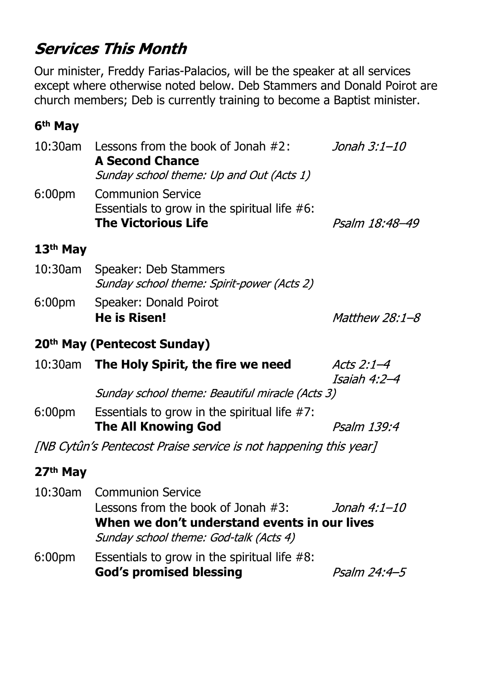# **Services This Month**

Our minister, Freddy Farias-Palacios, will be the speaker at all services except where otherwise noted below. Deb Stammers and Donald Poirot are church members; Deb is currently training to become a Baptist minister.

### **6th May**

| 10:30am                                                          | Lessons from the book of Jonah $#2$ :<br><b>A Second Chance</b><br>Sunday school theme: Up and Out (Acts 1)                                                 | Jonah 3:1–10               |  |  |  |
|------------------------------------------------------------------|-------------------------------------------------------------------------------------------------------------------------------------------------------------|----------------------------|--|--|--|
| 6:00 <sub>pm</sub>                                               | <b>Communion Service</b><br>Essentials to grow in the spiritual life $#6$ :<br><b>The Victorious Life</b>                                                   | Psalm 18:48-49             |  |  |  |
| 13 <sup>th</sup> May                                             |                                                                                                                                                             |                            |  |  |  |
| 10:30am                                                          | Speaker: Deb Stammers<br>Sunday school theme: Spirit-power (Acts 2)                                                                                         |                            |  |  |  |
| 6:00 <sub>pm</sub>                                               | Speaker: Donald Poirot                                                                                                                                      |                            |  |  |  |
|                                                                  | <b>He is Risen!</b>                                                                                                                                         | <i>Matthew 28:1-8</i>      |  |  |  |
| 20 <sup>th</sup> May (Pentecost Sunday)                          |                                                                                                                                                             |                            |  |  |  |
|                                                                  | 10:30am The Holy Spirit, the fire we need                                                                                                                   | Acts 2:1-4<br>Isaiah 4:2–4 |  |  |  |
|                                                                  | Sunday school theme: Beautiful miracle (Acts 3)                                                                                                             |                            |  |  |  |
| 6:00 <sub>pm</sub>                                               | Essentials to grow in the spiritual life $#7$ :<br><b>The All Knowing God</b>                                                                               | Psalm 139:4                |  |  |  |
| [NB Cytûn's Pentecost Praise service is not happening this year] |                                                                                                                                                             |                            |  |  |  |
| 27 <sup>th</sup> May                                             |                                                                                                                                                             |                            |  |  |  |
| $10:30$ am                                                       | <b>Communion Service</b><br>Lessons from the book of Jonah $#3$ :<br>When we don't understand events in our lives<br>Sunday school theme: God-talk (Acts 4) | Jonah 4:1–10               |  |  |  |
| 6:00 <sub>pm</sub>                                               | Essentials to grow in the spiritual life $#8$ :<br><b>God's promised blessing</b>                                                                           | Psalm 24:4-5               |  |  |  |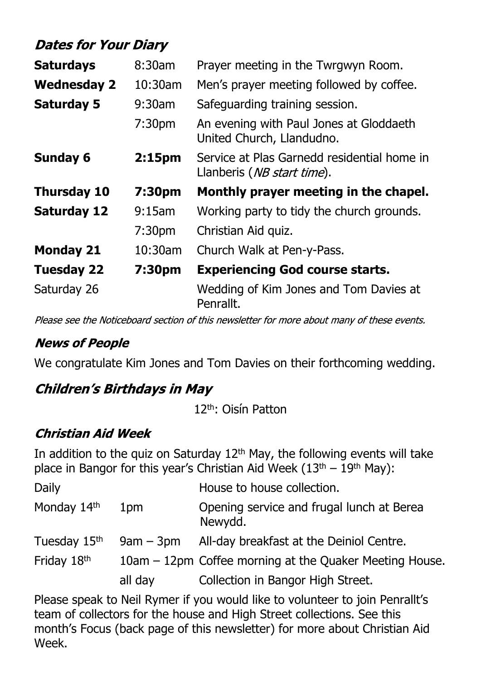## **Dates for Your Diary**

| <b>Saturdays</b>   | $8:30$ am          | Prayer meeting in the Twrgwyn Room.                                                |
|--------------------|--------------------|------------------------------------------------------------------------------------|
| <b>Wednesday 2</b> | 10:30am            | Men's prayer meeting followed by coffee.                                           |
| <b>Saturday 5</b>  | $9:30$ am          | Safeguarding training session.                                                     |
|                    | 7:30 <sub>pm</sub> | An evening with Paul Jones at Gloddaeth<br>United Church, Llandudno.               |
| <b>Sunday 6</b>    | 2:15 <sub>pm</sub> | Service at Plas Garnedd residential home in<br>Llanberis ( <i>NB start time</i> ). |
|                    |                    |                                                                                    |
| <b>Thursday 10</b> | 7:30pm             | Monthly prayer meeting in the chapel.                                              |
| <b>Saturday 12</b> | $9:15$ am          | Working party to tidy the church grounds.                                          |
|                    | 7:30 <sub>pm</sub> | Christian Aid quiz.                                                                |
| <b>Monday 21</b>   | 10:30am            | Church Walk at Pen-y-Pass.                                                         |
| <b>Tuesday 22</b>  | 7:30pm             | <b>Experiencing God course starts.</b>                                             |

Please see the Noticeboard section of this newsletter for more about many of these events.

### **News of People**

We congratulate Kim Jones and Tom Davies on their forthcoming wedding.

### **Children's Birthdays in May**

12th: Oisín Patton

### **Christian Aid Week**

In addition to the quiz on Saturday  $12<sup>th</sup>$  May, the following events will take place in Bangor for this year's Christian Aid Week  $(13<sup>th</sup> - 19<sup>th</sup>$  May):

| Daily                    |             | House to house collection.                              |
|--------------------------|-------------|---------------------------------------------------------|
| Monday 14th              | 1pm         | Opening service and frugal lunch at Berea<br>Newydd.    |
| Tuesday 15 <sup>th</sup> | $9am - 3pm$ | All-day breakfast at the Deiniol Centre.                |
| Friday 18th              |             | 10am - 12pm Coffee morning at the Quaker Meeting House. |
|                          | all day     | Collection in Bangor High Street.                       |

Please speak to Neil Rymer if you would like to volunteer to join Penrallt's team of collectors for the house and High Street collections. See this month's Focus (back page of this newsletter) for more about Christian Aid Week.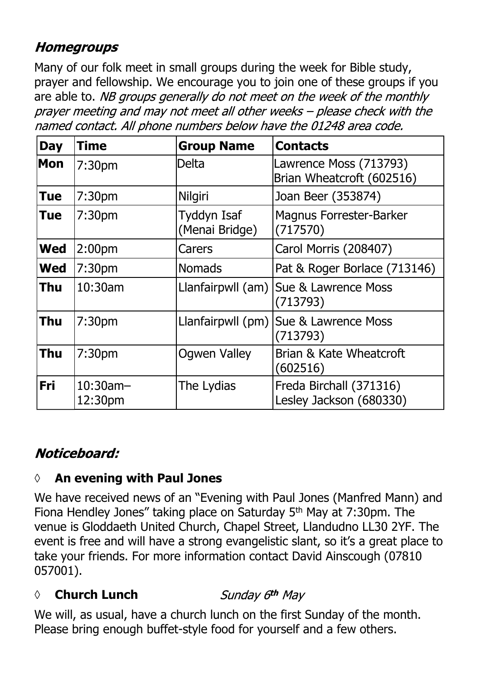### **Homegroups**

Many of our folk meet in small groups during the week for Bible study, prayer and fellowship. We encourage you to join one of these groups if you are able to. NB groups generally do not meet on the week of the monthly prayer meeting and may not meet all other weeks - please check with the named contact. All phone numbers below have the 01248 area code.

| <b>Day</b> | <b>Time</b>            | <b>Group Name</b>                    | <b>Contacts</b>                                     |
|------------|------------------------|--------------------------------------|-----------------------------------------------------|
| Mon        | 7:30 <sub>pm</sub>     | <b>Delta</b>                         | Lawrence Moss (713793)<br>Brian Wheatcroft (602516) |
| <b>Tue</b> | 7:30 <sub>pm</sub>     | Nilgiri                              | Joan Beer (353874)                                  |
| Tue        | 7:30 <sub>pm</sub>     | <b>Tyddyn Isaf</b><br>(Menai Bridge) | <b>Magnus Forrester-Barker</b><br>(717570)          |
| <b>Wed</b> | 2:00 <sub>pm</sub>     | Carers                               | Carol Morris (208407)                               |
| <b>Wed</b> | 7:30 <sub>pm</sub>     | <b>Nomads</b>                        | Pat & Roger Borlace (713146)                        |
| Thu        | 10:30am                | Llanfairpwll (am)                    | <b>Sue &amp; Lawrence Moss</b><br>(713793)          |
| <b>Thu</b> | 7:30 <sub>pm</sub>     | Llanfairpwll (pm)                    | Sue & Lawrence Moss<br>(713793)                     |
| <b>Thu</b> | 7:30pm                 | <b>Ogwen Valley</b>                  | Brian & Kate Wheatcroft<br>(602516)                 |
| <b>Fri</b> | $10:30$ am-<br>12:30pm | The Lydias                           | Freda Birchall (371316)<br>Lesley Jackson (680330)  |

### Noticeboard:

### **◊ An evening with Paul Jones**

We have received news of an "Evening with Paul Jones (Manfred Mann) and Fiona Hendley Jones" taking place on Saturday 5th May at 7:30pm. The venue is Gloddaeth United Church, Chapel Street, Llandudno LL30 2YF. The event is free and will have a strong evangelistic slant, so it's a great place to take your friends. For more information contact David Ainscough (07810 057001).

### Sunday 6th May **◊ Church Lunch**

We will, as usual, have a church lunch on the first Sunday of the month. Please bring enough buffet-style food for yourself and a few others.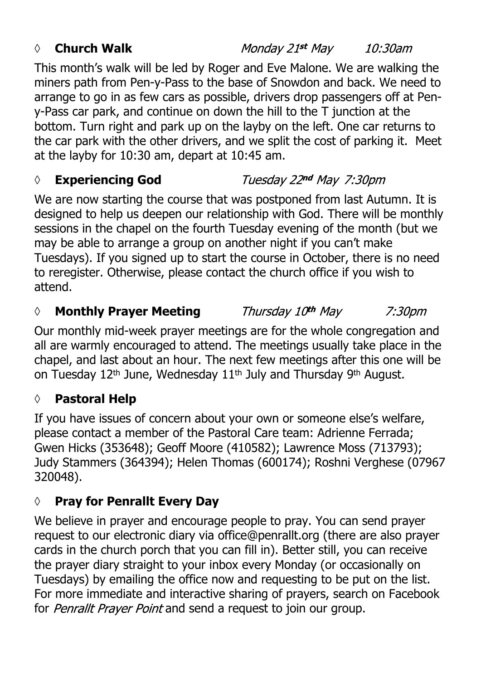### *◊* **Church Walk**

Monday 21st May 10:30am

This month's walk will be led by Roger and Eve Malone. We are walking the miners path from Pen-y-Pass to the base of Snowdon and back. We need to arrange to go in as few cars as possible, drivers drop passengers off at Peny-Pass car park, and continue on down the hill to the T junction at the bottom. Turn right and park up on the layby on the left. One car returns to the car park with the other drivers, and we split the cost of parking it. Meet at the layby for 10:30 am, depart at 10:45 am.

### *◊* **Experiencing God** Tuesday 22nd May 7:30pm

We are now starting the course that was postponed from last Autumn. It is designed to help us deepen our relationship with God. There will be monthly sessions in the chapel on the fourth Tuesday evening of the month (but we may be able to arrange a group on another night if you can't make Tuesdays). If you signed up to start the course in October, there is no need to reregister. Otherwise, please contact the church office if you wish to attend.

#### *◊* **Monthly Prayer Meeting** Thursday 10th May 7:30pm

Our monthly mid-week prayer meetings are for the whole congregation and all are warmly encouraged to attend. The meetings usually take place in the chapel, and last about an hour. The next few meetings after this one will be on Tuesday 12<sup>th</sup> June, Wednesday 11<sup>th</sup> July and Thursday 9<sup>th</sup> August.

### **◊ Pastoral Help**

If you have issues of concern about your own or someone else's welfare, please contact a member of the Pastoral Care team: Adrienne Ferrada; Gwen Hicks (353648); Geoff Moore (410582); Lawrence Moss (713793); Judy Stammers (364394); Helen Thomas (600174); Roshni Verghese (07967 320048).

### **◊ Pray for Penrallt Every Day**

We believe in prayer and encourage people to pray. You can send prayer request to our electronic diary via office@penrallt.org (there are also prayer cards in the church porch that you can fill in). Better still, you can receive the prayer diary straight to your inbox every Monday (or occasionally on Tuesdays) by emailing the office now and requesting to be put on the list. For more immediate and interactive sharing of prayers, search on Facebook for Penrallt Prayer Point and send a request to join our group.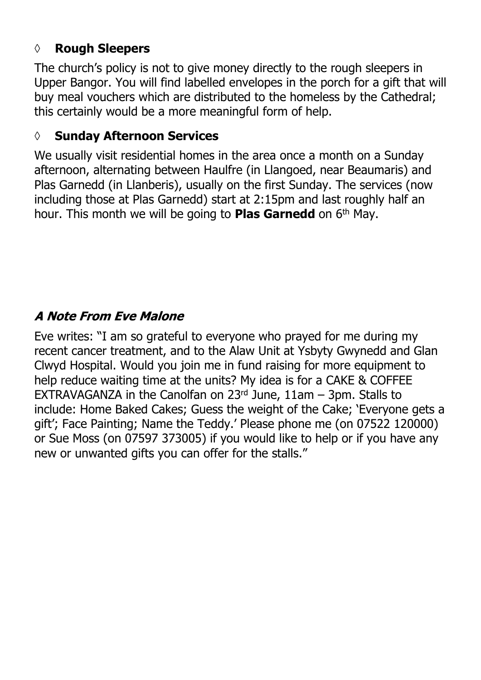### **◊ Rough Sleepers**

The church's policy is not to give money directly to the rough sleepers in Upper Bangor. You will find labelled envelopes in the porch for a gift that will buy meal vouchers which are distributed to the homeless by the Cathedral; this certainly would be a more meaningful form of help.

### **◊ Sunday Afternoon Services**

We usually visit residential homes in the area once a month on a Sunday afternoon, alternating between Haulfre (in Llangoed, near Beaumaris) and Plas Garnedd (in Llanberis), usually on the first Sunday. The services (now including those at Plas Garnedd) start at 2:15pm and last roughly half an hour. This month we will be going to **Plas Garnedd** on 6th May.

### **A Note From Eve Malone**

Eve writes: "I am so grateful to everyone who prayed for me during my recent cancer treatment, and to the Alaw Unit at Ysbyty Gwynedd and Glan Clwyd Hospital. Would you join me in fund raising for more equipment to help reduce waiting time at the units? My idea is for a CAKE & COFFEE EXTRAVAGANZA in the Canolfan on  $23<sup>rd</sup>$  June, 11am – 3pm. Stalls to include: Home Baked Cakes; Guess the weight of the Cake; 'Everyone gets a gift'; Face Painting; Name the Teddy.' Please phone me (on 07522 120000) or Sue Moss (on 07597 373005) if you would like to help or if you have any new or unwanted gifts you can offer for the stalls."